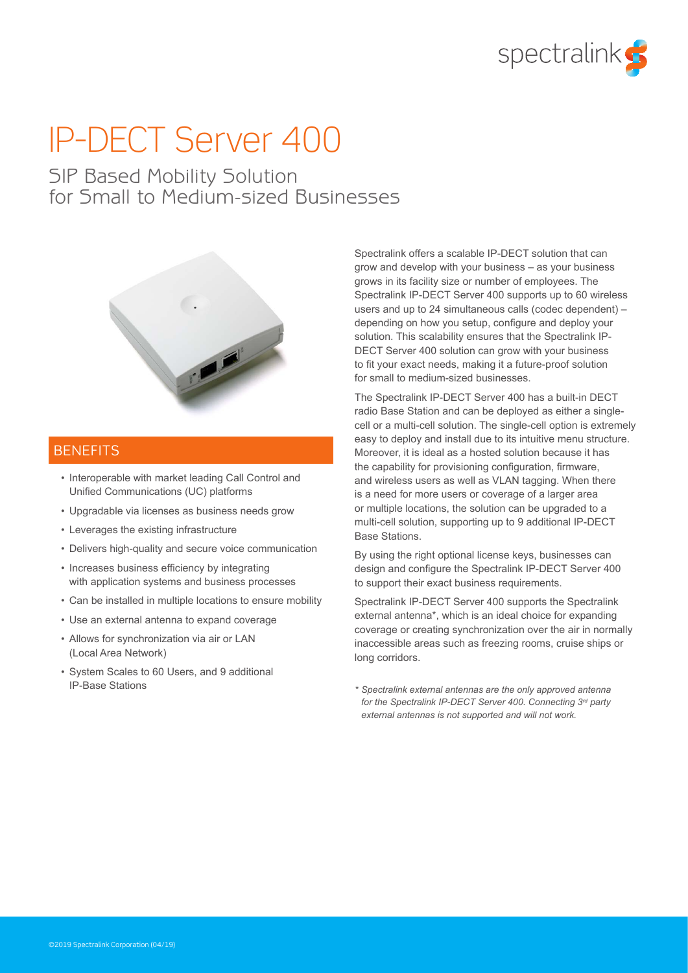

# IP-DECT Server 400

## SIP Based Mobility Solution for Small to Medium-sized Businesses



### **BENEFITS**

- Interoperable with market leading Call Control and Unified Communications (UC) platforms
- Upgradable via licenses as business needs grow
- Leverages the existing infrastructure
- Delivers high-quality and secure voice communication
- Increases business efficiency by integrating with application systems and business processes
- Can be installed in multiple locations to ensure mobility
- Use an external antenna to expand coverage
- Allows for synchronization via air or LAN (Local Area Network)
- System Scales to 60 Users, and 9 additional IP-Base Stations

Spectralink offers a scalable IP-DECT solution that can grow and develop with your business – as your business grows in its facility size or number of employees. The Spectralink IP-DECT Server 400 supports up to 60 wireless users and up to 24 simultaneous calls (codec dependent) – depending on how you setup, configure and deploy your solution. This scalability ensures that the Spectralink IP-DECT Server 400 solution can grow with your business to fit your exact needs, making it a future-proof solution for small to medium-sized businesses.

The Spectralink IP-DECT Server 400 has a built-in DECT radio Base Station and can be deployed as either a singlecell or a multi-cell solution. The single-cell option is extremely easy to deploy and install due to its intuitive menu structure. Moreover, it is ideal as a hosted solution because it has the capability for provisioning configuration, firmware, and wireless users as well as VLAN tagging. When there is a need for more users or coverage of a larger area or multiple locations, the solution can be upgraded to a multi-cell solution, supporting up to 9 additional IP-DECT Base Stations.

By using the right optional license keys, businesses can design and configure the Spectralink IP-DECT Server 400 to support their exact business requirements.

Spectralink IP-DECT Server 400 supports the Spectralink external antenna\*, which is an ideal choice for expanding coverage or creating synchronization over the air in normally inaccessible areas such as freezing rooms, cruise ships or long corridors.

*\* Spectralink external antennas are the only approved antenna for the Spectralink IP-DECT Server 400. Connecting 3rd party external antennas is not supported and will not work.*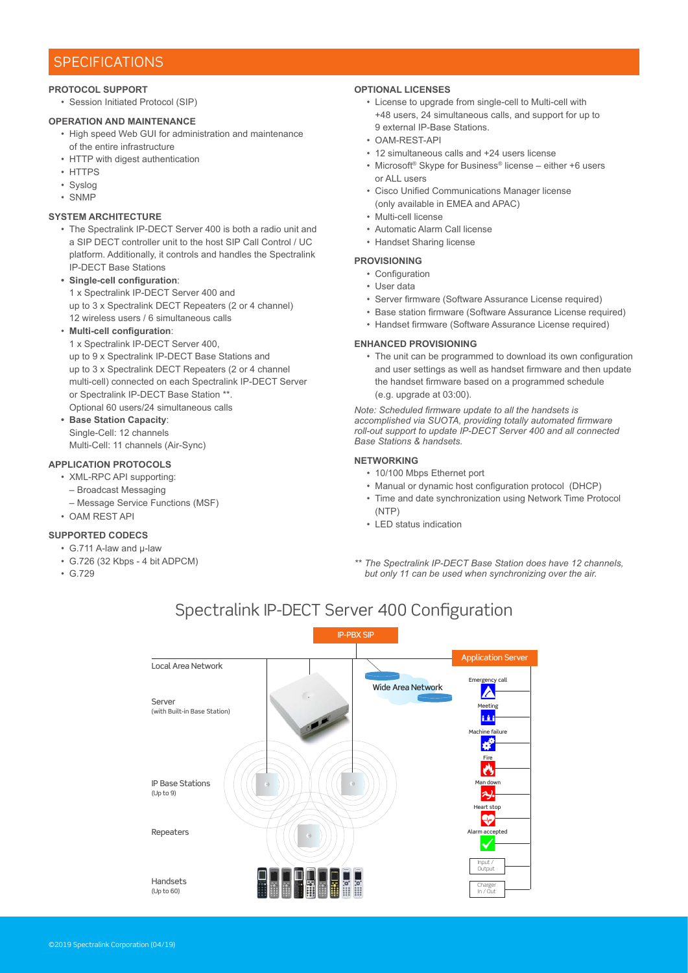### **SPECIFICATIONS**

### **PROTOCOL SUPPORT**

• Session Initiated Protocol (SIP)

### **OPERATION AND MAINTENANCE**

- High speed Web GUI for administration and maintenance of the entire infrastructure
- HTTP with digest authentication
- HTTPS
- Syslog
- SNMP

### **SYSTEM ARCHITECTURE**

• The Spectralink IP-DECT Server 400 is both a radio unit and a SIP DECT controller unit to the host SIP Call Control / UC platform. Additionally, it controls and handles the Spectralink IP-DECT Base Stations

### **• Single-cell configuration**:

1 x Spectralink IP-DECT Server 400 and up to 3 x Spectralink DECT Repeaters (2 or 4 channel) 12 wireless users / 6 simultaneous calls

### • **Multi-cell configuration**:

1 x Spectralink IP-DECT Server 400, up to 9 x Spectralink IP-DECT Base Stations and up to 3 x Spectralink DECT Repeaters (2 or 4 channel multi-cell) connected on each Spectralink IP-DECT Server or Spectralink IP-DECT Base Station \*\*. Optional 60 users/24 simultaneous calls

**• Base Station Capacity**: Single-Cell: 12 channels

Multi-Cell: 11 channels (Air-Sync)

### **APPLICATION PROTOCOLS**

- XML-RPC API supporting:
	- Broadcast Messaging
	- Message Service Functions (MSF)
- OAM REST API

### **SUPPORTED CODECS**

- G.711 A-law and µ-law
- G.726 (32 Kbps 4 bit ADPCM)
- G.729

### **OPTIONAL LICENSES**

- License to upgrade from single-cell to Multi-cell with +48 users, 24 simultaneous calls, and support for up to 9 external IP-Base Stations.
- OAM-REST-API
- 12 simultaneous calls and +24 users license
- Microsoft® Skype for Business® license either +6 users or ALL users
- Cisco Unified Communications Manager license (only available in EMEA and APAC)
- Multi-cell license
- Automatic Alarm Call license
- Handset Sharing license

### **PROVISIONING**

- Configuration
- User data
- Server firmware (Software Assurance License required)
- Base station firmware (Software Assurance License required)
- Handset firmware (Software Assurance License required)

### **ENHANCED PROVISIONING**

• The unit can be programmed to download its own configuration and user settings as well as handset firmware and then update the handset firmware based on a programmed schedule (e.g. upgrade at 03:00).

*Note: Scheduled firmware update to all the handsets is accomplished via SUOTA, providing totally automated firmware roll-out support to update IP-DECT Server 400 and all connected Base Stations & handsets.*

### **NETWORKING**

- 10/100 Mbps Ethernet port
- Manual or dynamic host configuration protocol (DHCP)
- Time and date synchronization using Network Time Protocol (NTP)
- LED status indication
- *\*\* The Spectralink IP-DECT Base Station does have 12 channels, but only 11 can be used when synchronizing over the air.*

### $S_{\rm eff}$  -Dectralink IP-DECT server  $400$  Configuration  $\sim$ Spectralink IP-DECT Server 400 Configuration